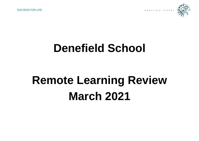**SUCCESS FOR LIFE DENETIELD** SCHOOL



# **Denefield School**

# **Remote Learning Review March 2021**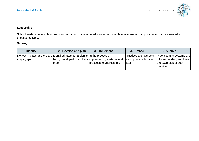

# **Leadership**

School leaders have a clear vision and approach for remote education, and maintain awareness of any issues or barriers related to effective delivery.

| 1. Identify                                                                                  | 2. Develop and plan                                          | 3. Implement               | 4. Embed                                                         | 5. Sustain                                                                                  |
|----------------------------------------------------------------------------------------------|--------------------------------------------------------------|----------------------------|------------------------------------------------------------------|---------------------------------------------------------------------------------------------|
| Not yet in place or there are Identified gaps but a plan is In the process of<br>major gaps. | being developed to address implementing systems and<br>them. | practices to address this. | <b>Practices and systems</b><br>are in place with minor<br>gaps. | Practices and systems are<br>fully embedded, and there<br>are examples of best<br>practice. |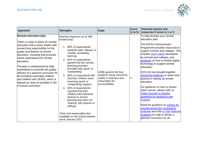

| <b>Approach</b>                                                                                                                                                                                                                                                                                                                                                                                                                                                                                                               | <b>Strengths</b>                                                                                                                                                                                                                                                                                                                                                                                                                                                                                                                                                                                                                       | <b>Gaps</b>                                                                                                          | <b>Score</b><br>(1 to 5) | <b>Potential actions and</b><br>resources if score is 1 or 2                                                                                                                                                                                                                                                                                                                                                                                                                                                                                                                                                                                                                                                                                                             |
|-------------------------------------------------------------------------------------------------------------------------------------------------------------------------------------------------------------------------------------------------------------------------------------------------------------------------------------------------------------------------------------------------------------------------------------------------------------------------------------------------------------------------------|----------------------------------------------------------------------------------------------------------------------------------------------------------------------------------------------------------------------------------------------------------------------------------------------------------------------------------------------------------------------------------------------------------------------------------------------------------------------------------------------------------------------------------------------------------------------------------------------------------------------------------------|----------------------------------------------------------------------------------------------------------------------|--------------------------|--------------------------------------------------------------------------------------------------------------------------------------------------------------------------------------------------------------------------------------------------------------------------------------------------------------------------------------------------------------------------------------------------------------------------------------------------------------------------------------------------------------------------------------------------------------------------------------------------------------------------------------------------------------------------------------------------------------------------------------------------------------------------|
| Remote education plan<br>There is a plan in place for remote<br>education and a senior leader with<br>overarching responsibility for the<br>quality and delivery of remote<br>education, including that provision<br>meets expectations for remote<br>education.<br>The plan is underpinned by high<br>expectations to provide the quality<br>delivery of a planned curriculum for<br>all (including vulnerable children<br>and children with SEND), which is<br>aligned as close as possible to the<br>in-school curriculum. | Parental response out of 396<br>showed that:<br>1. 99% of respondents'<br>students were 'always' or<br>'usually' accessing<br>learning.<br>2. 92% of respondents<br>agreed that the remote<br>learning provision<br>provided was 'good' or<br>'outstanding'.<br>86% of respondents felt<br>3.<br>that their children were<br>receiving 'good' or<br>'outstanding' support.<br>93% of respondents<br>4.<br>reported that their<br>children had individual<br>devices to access<br>learning and were not<br>'sharing' with parents or<br>siblings.<br>Clear and measurable plan<br>available on the school website<br>since January 2021 | 3/396 parents felt that<br>students' faces should be<br>visible to teachers and<br>classmates for<br>accountability. | 4                        | To help develop your remote<br>education plan:<br>The EdTech Demonstrator<br>Programme provides resources to<br>support schools and colleges. This<br>includes <b>short videos</b> developed<br>by schools and colleges, and<br>guidance on how to embed digital<br>technology to support remote<br>education.<br>GOV.UK has brought together<br>school-led webinars to share best<br>practice in setting up remote<br>leducation.<br>For guidance on how to remain<br>cyber-secure, please refer to<br><b>Cyber security in schools:</b><br>questions for governors and<br>trustees.<br>Read the guidance on <b>actions for</b><br>schools during the coronavirus<br>outbreak and refer to Oak National<br>Academy for help to deliver a<br>blanned curriculum for all. |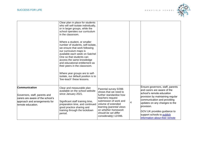

|                                                                                                                                          | Clear plan in place for students<br>who will self-isolate individually,<br>or in larger groups, while the<br>school operates our curriculum<br>in the classroom.<br>Where a student, or smaller<br>number of students, self-isolate,<br>we ensure that work following<br>our curriculum maps is<br>available each week on Satchel<br>One so that students can<br>access the same knowledge<br>and educational entitlement as<br>their peers in the classroom.<br>Where year groups are to self-<br>isolate, our default position is to<br>'live-teach' these lessons. |                                                                                                                                                                                                                                                   |   |                                                                                                                                                                                                                                                                                                                      |
|------------------------------------------------------------------------------------------------------------------------------------------|-----------------------------------------------------------------------------------------------------------------------------------------------------------------------------------------------------------------------------------------------------------------------------------------------------------------------------------------------------------------------------------------------------------------------------------------------------------------------------------------------------------------------------------------------------------------------|---------------------------------------------------------------------------------------------------------------------------------------------------------------------------------------------------------------------------------------------------|---|----------------------------------------------------------------------------------------------------------------------------------------------------------------------------------------------------------------------------------------------------------------------------------------------------------------------|
| Communication<br>Governors, staff, parents and<br>carers are aware of the school's<br>approach and arrangements for<br>remote education. | Clear and measurable plan<br>available on the school website<br>since January 2021.<br>Significant staff training time,<br>preparation time, and continued<br>good practice sharing and<br>training through the lockdown<br>period.                                                                                                                                                                                                                                                                                                                                   | Parental survey 5/396<br>shows that we need to<br>further standardise how<br>teachers request<br>submission of work and<br>volume of extended<br>learning (parental views<br>on whether homework<br>should be set differ<br>considerably) 12/396. | 4 | Ensure governors, staff, parents<br>and carers are aware of the<br>school's remote education<br>provision by maintaining regular<br>communication and providing<br>updates on any changes to the<br>provision.<br>GOV.UK provides guidance to<br>support schools to <b>publish</b><br>information about their remote |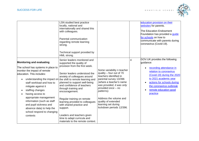

|                                                                                                                                                                                                                                                                                                                                                                                          | LSN studied best practice<br>locally, national and<br>internationally and shared this<br>with colleagues.<br>Parental communication<br>regarding remote learning<br>strong.<br>Technical support provided by<br>HML strong.                                                                                                                                                                                                                                                                                                                    |                                                                                                                                                                                                                                                                                                            |   | education provision on their<br>websites for parents.<br><b>The Education Endowment</b><br>Foundation has provided a guide<br>for schools on how to<br>communicate with parents during<br>coronavirus (Covid-19).                                                                |
|------------------------------------------------------------------------------------------------------------------------------------------------------------------------------------------------------------------------------------------------------------------------------------------------------------------------------------------------------------------------------------------|------------------------------------------------------------------------------------------------------------------------------------------------------------------------------------------------------------------------------------------------------------------------------------------------------------------------------------------------------------------------------------------------------------------------------------------------------------------------------------------------------------------------------------------------|------------------------------------------------------------------------------------------------------------------------------------------------------------------------------------------------------------------------------------------------------------------------------------------------------------|---|----------------------------------------------------------------------------------------------------------------------------------------------------------------------------------------------------------------------------------------------------------------------------------|
| <b>Monitoring and evaluating</b><br>The school has systems in place to<br>monitor the impact of remote<br>education. This includes:<br>staff workload and how to<br>mitigate against it<br>staffing changes<br>having access to<br>appropriate management<br>information (such as staff<br>and pupil sickness and<br>absence data) to help the<br>school respond to changing<br>contexts | Senior leaders monitored and<br>supported the quality of<br>provision from the first week.<br>Senior leaders understood the<br>anxiety of colleagues around<br>understanding the impact on the shift to remote learning and<br>planned to support well-being<br>and confidence of teachers<br>through training and<br>encouragement.<br>Regular training on remote<br>learning provided to colleagues<br>with shared practice and<br>support.<br>Leaders and teachers given<br>time to adapt curricula and<br>materials to the remote context. | Some variability n teacher<br>quality - four out of 70<br>teachers identified in<br>parental survey 13/396<br>(where a teacher's name<br>was provided, it was only<br>provided once - no<br>patterns).<br>Address the volume and<br>quality of extended<br>learning set during<br>lockdown periods 12/396. | 4 | GOV.UK provides the following<br>quidance:<br>recording attendance in<br>$\bullet$<br>relation to coronavirus<br>(Covid-19) during the 2020<br>to 2021 academic year<br>actions for schools during<br>the coronavirus outbreak<br>remote education good<br>$\bullet$<br>practice |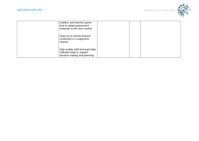

| Leaders and teachers given<br>time to adapt assessment<br>materials to the new context.          |  |  |
|--------------------------------------------------------------------------------------------------|--|--|
| Drop-ins to remote lessons<br>conducted in a supportive<br>l manner.                             |  |  |
| High quality staff and pupil data<br>collected daily to support<br>decision making and planning. |  |  |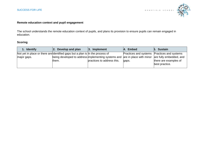

#### **Remote education context and pupil engagement**

The school understands the remote education context of pupils, and plans its provision to ensure pupils can remain engaged in education.

| 1. Identify                                                                  | Develop and plan<br>12.                                                                             | 3. Implement               | <b>Embed</b><br>I4.                         | 5. Sustain                              |
|------------------------------------------------------------------------------|-----------------------------------------------------------------------------------------------------|----------------------------|---------------------------------------------|-----------------------------------------|
| Not yet in place or there are dentified gaps but a plan is in the process of |                                                                                                     |                            | Practices and systems Practices and systems |                                         |
| major gaps.                                                                  | being developed to address implementing systems and are in place with minor are fully embedded, and |                            |                                             |                                         |
|                                                                              | them.                                                                                               | practices to address this. | gaps.                                       | there are examples of<br>best practice. |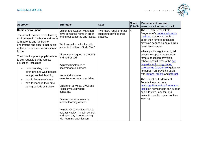

| <b>Approach</b>                                                                                                                                                                                                                                                                                                                                                                                                                                                                                                               | <b>Strengths</b>                                                                                                                                                                                                                                                                                                                                                                                                                                                                                                                                                                                         | <b>Gaps</b>                                                         | <b>Score</b><br>(1 to 5) | <b>Potential actions and</b><br>resources if score is 1 or 2                                                                                                                                                                                                                                                                                                                                                                                                                                                                                                                                                                                                                         |
|-------------------------------------------------------------------------------------------------------------------------------------------------------------------------------------------------------------------------------------------------------------------------------------------------------------------------------------------------------------------------------------------------------------------------------------------------------------------------------------------------------------------------------|----------------------------------------------------------------------------------------------------------------------------------------------------------------------------------------------------------------------------------------------------------------------------------------------------------------------------------------------------------------------------------------------------------------------------------------------------------------------------------------------------------------------------------------------------------------------------------------------------------|---------------------------------------------------------------------|--------------------------|--------------------------------------------------------------------------------------------------------------------------------------------------------------------------------------------------------------------------------------------------------------------------------------------------------------------------------------------------------------------------------------------------------------------------------------------------------------------------------------------------------------------------------------------------------------------------------------------------------------------------------------------------------------------------------------|
| Home environment<br>The school is aware of the learning<br>environment in the home and works<br>with parents and families to<br>understand and ensure that pupils<br>will be able to access education at<br>home.<br>The school supports pupils on how<br>to self-regulate during remote<br>education, including:<br>understanding their<br>$\bullet$<br>strengths and weaknesses<br>to improve their learning<br>how to learn from home<br>$\bullet$<br>how to manage their time<br>$\bullet$<br>during periods of isolation | <b>Edison and Student Managers</b><br>have contacted home in order<br>to find out concerns and issues.<br>We have asked all vulnerable<br>students to attend 'Study Club'<br>All concerns logged in CPOMS<br>and addressed.<br>Adjusted timetables to<br>accommodate learners.<br>Home visits where<br>parents/cares not contactable.<br>Chlidrens' services, EWO and<br>Police involved where<br>concerns.<br>Several questionnaires on<br>remote learning access.<br>Vulnerable students contacted<br>at least weekly, if not in school,<br>and each day if not engaging<br>with learning each lesson. | Two tutors require further<br>support to develop their<br>practice. | 4                        | The EdTech Demonstrator<br>Programme's remote education<br>roadmap supports schools to<br>adapt their remote education<br>provision depending on a pupil's<br>home environment.<br>Where pupils might lack digital<br>access to support the school's<br>remote education provision,<br>schools should refer to the get<br>help with technology during<br>coronavirus (COVID-19) guidance<br>for support on providing pupils<br>with laptops, tablets and internet.<br>The Education Endowment<br>Foundation provides a<br>metacognition and self-regulation<br>toolkit on how schools can support<br>pupils to plan, monitor, and<br>evaluate specific aspects of their<br>learning. |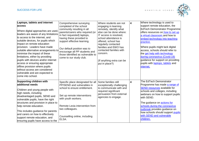

| Laptops, tablets and internet<br>access<br>Where digital approaches are used,<br>leaders are aware of any limitations<br>to access to the internet, and<br>suitable devices, for pupils which<br>impact on remote education<br>provision. Leaders have made<br>suitable alternative arrangements to<br>minimise the impact of these<br>limitations, either by providing<br>pupils with devices and/or internet<br>access or ensuring appropriate<br>offline provision where pupils<br>without access are considered<br>vulnerable and are expected to<br>come into school. | Comprehensive surveying<br>completed of the school<br>community resulting in all<br>parents/carers who required (or<br>in fact requested) laptops,<br>having these provided to<br>support effective learning.<br>Our default position was to<br>encourage all PP students and<br>those identified as vulnerable to<br>come to our study club. | Where students are not<br>engaging in learning<br>remotely, identify what<br>else can be done where:<br>IT access is resolved.<br>school attendance is<br>offered, school has<br>regularly contacted<br>families and EWO has<br>contacted families with<br>concern.<br>(If anything extra can be<br>put in place?) | $\overline{\mathbf{4}}$ | Where technology is used to<br>support remote education, the<br><b>EdTech Demonstrator Programme</b><br>offers resources on how to set up<br>a virtual classroom and how to<br>embed technology into teaching<br>practice.<br>Where pupils might lack digital<br>access, schools should refer to<br>the get help with technology<br>during coronavirus (Covid-19)<br>guidance for support on providing<br>pupils with laptops, tablets and<br>internet. |
|----------------------------------------------------------------------------------------------------------------------------------------------------------------------------------------------------------------------------------------------------------------------------------------------------------------------------------------------------------------------------------------------------------------------------------------------------------------------------------------------------------------------------------------------------------------------------|-----------------------------------------------------------------------------------------------------------------------------------------------------------------------------------------------------------------------------------------------------------------------------------------------------------------------------------------------|--------------------------------------------------------------------------------------------------------------------------------------------------------------------------------------------------------------------------------------------------------------------------------------------------------------------|-------------------------|---------------------------------------------------------------------------------------------------------------------------------------------------------------------------------------------------------------------------------------------------------------------------------------------------------------------------------------------------------------------------------------------------------------------------------------------------------|
| <b>Supporting children with</b><br>additional needs<br>Children and young people with<br>high needs, including<br>disadvantaged pupils, SEND and<br>vulnerable pupils, have the right<br>structures and provision in place to<br>help remote education.<br>This includes guidance for parents<br>and carers on how to effectively<br>support remote education, and<br>ensuring pupils have access to the                                                                                                                                                                   | Specific place designated for all<br>PP/SEND and vulnerables in<br>school to ensure entitlement.<br>Set up remote interventions<br>with youth workers.<br>Remote Lexia intervention from<br>two colleagues.<br>Counselling online, including<br>ELSA.                                                                                         | Some families still<br>exceptionally challenging<br>to communicate with and<br>required significant<br>persuasion from external<br>agencies to engage.                                                                                                                                                             | 4                       | The EdTech Demonstrator<br>Programme has made a range of<br><b>SEND resources available for</b><br>schools and colleges, including<br>webinars on how to support pupils<br>with SEND.<br>The guidance on <b>actions for</b><br>schools during the coronavirus<br>outbreak provides guidance on<br>how schools should support pupils<br>with SEND and vulnerable<br>children.                                                                            |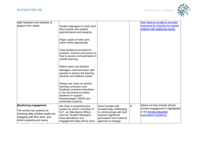

| right hardware and software to                                                                                                 |                                                                                                                                                                                               |                                                                                                                                 |                         | <b>Oak National Academy provides</b>                                                   |
|--------------------------------------------------------------------------------------------------------------------------------|-----------------------------------------------------------------------------------------------------------------------------------------------------------------------------------------------|---------------------------------------------------------------------------------------------------------------------------------|-------------------------|----------------------------------------------------------------------------------------|
| support their needs.                                                                                                           | Student Managers in work each<br>day to guide and support<br>parents/carers and students.                                                                                                     |                                                                                                                                 |                         | resources for teachers to support<br>children with additional needs.                   |
|                                                                                                                                | Paper copies of work sent<br>home where appropriate.                                                                                                                                          |                                                                                                                                 |                         |                                                                                        |
|                                                                                                                                | Clear guidance provided for<br>students. Parents and carers on<br>how to access and participate in<br>remote learning.                                                                        |                                                                                                                                 |                         |                                                                                        |
|                                                                                                                                | <b>Edison team and Student</b><br>Managers communication with                                                                                                                                 |                                                                                                                                 |                         |                                                                                        |
|                                                                                                                                | parents to assess the learning<br>situation and address needs.                                                                                                                                |                                                                                                                                 |                         |                                                                                        |
|                                                                                                                                | Please see notes on remote<br>learning curriculum and<br>hardware provision elsewhere<br>in the document as further<br>evidence to support<br>disadvantaged, SEND and<br>vulnerable students. |                                                                                                                                 |                         |                                                                                        |
| <b>Monitoring engagement</b>                                                                                                   | We have a comprehensive                                                                                                                                                                       | Some families still                                                                                                             | $\overline{\mathbf{4}}$ | Advice on how schools should                                                           |
| The school has systems for<br>checking daily whether pupils are<br>engaging with their work, and<br>informs parents and carers | system by which a member of<br>SLT, an Attendance Officer,<br>and four Student Managers<br>track attendance and<br>engagement daily and by each                                               | exceptionally challenging<br>to communicate with and<br>required significant<br>persuasion from external<br>agencies to engage. |                         | monitor engagement is highlighted<br>in the remote education<br>expectations guidance. |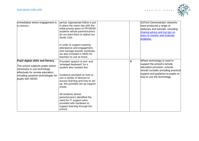

| immediately where engagement is<br>a concern.                                                                                                                                                          | period. Appropriate follow is put<br>in place the same day with the<br>initial priority given to PP/SEND<br>students whose parents/carers<br>do not want them to attend our<br>Study Club.                                          |   | <b>EdTech Demonstrator networks</b><br>have produced a range of<br>webinars and tutorials, including<br>sharing advice and top tips on<br>ways to monitor and evaluate<br>progress.                  |
|--------------------------------------------------------------------------------------------------------------------------------------------------------------------------------------------------------|-------------------------------------------------------------------------------------------------------------------------------------------------------------------------------------------------------------------------------------|---|------------------------------------------------------------------------------------------------------------------------------------------------------------------------------------------------------|
|                                                                                                                                                                                                        | In order to support tracking<br>attendance and engagement,<br>and manage teacher workload,<br>we also invested in SIMS for<br>teachers to use at home.                                                                              |   |                                                                                                                                                                                                      |
| Pupil digital skills and literacy<br>The school supports pupils where<br>necessary to use technology<br>effectively for remote education,<br>including assistive technologies for<br>pupils with SEND. | Provided 'speech to text' and<br>'enlarged keyboard' for a<br>student who needed this.<br>Guidance provided on how to<br>use a variety of devices to<br>access learning and how to set<br>up. We provided set up support<br>onsite. | 5 | Where technology is used to<br>support the school's remote<br>education provision, schools<br>should consider providing practical<br>support and guidance to pupils on<br>how to use the technology. |
|                                                                                                                                                                                                        | All students whose<br>parents/carers identified the<br>need for IT support were<br>provided with hardware to<br>support learning through the<br>school.                                                                             |   |                                                                                                                                                                                                      |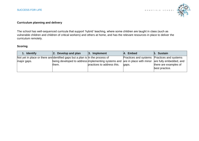

#### **Curriculum planning and delivery**

The school has well-sequenced curricula that support 'hybrid' teaching, where some children are taught in class (such as vulnerable children and children of critical workers) and others at home, and has the relevant resources in place to deliver the curriculum remotely.

| 1. Identify                                                                  | Develop and plan<br><u> 2.</u>                      | $ 3.$ Implement            | <b>Embed</b>                                | 5. Sustain                                      |
|------------------------------------------------------------------------------|-----------------------------------------------------|----------------------------|---------------------------------------------|-------------------------------------------------|
| Not yet in place or there are dentified gaps but a plan is In the process of |                                                     |                            | Practices and systems Practices and systems |                                                 |
| major gaps.                                                                  | being developed to address implementing systems and |                            |                                             | are in place with minor are fully embedded, and |
|                                                                              | them.                                               | practices to address this. | gaps.                                       | there are examples of                           |
|                                                                              |                                                     |                            |                                             | best practice.                                  |
|                                                                              |                                                     |                            |                                             |                                                 |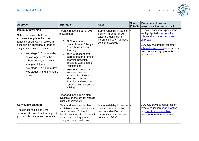

| <b>Approach</b>                                                                                                                                                                                                                                                                                                                                                                                               | <b>Strengths</b>                                                                                                                                                                                                                                                                                                                                                                                                                                                                                                      | <b>Gaps</b>                                                                                                                            | <b>Score</b><br>(1 to 5) | <b>Potential actions and</b><br>resources if score is 1 or 2                                                                                                                                                                       |
|---------------------------------------------------------------------------------------------------------------------------------------------------------------------------------------------------------------------------------------------------------------------------------------------------------------------------------------------------------------------------------------------------------------|-----------------------------------------------------------------------------------------------------------------------------------------------------------------------------------------------------------------------------------------------------------------------------------------------------------------------------------------------------------------------------------------------------------------------------------------------------------------------------------------------------------------------|----------------------------------------------------------------------------------------------------------------------------------------|--------------------------|------------------------------------------------------------------------------------------------------------------------------------------------------------------------------------------------------------------------------------|
| <b>Minimum provision</b><br>School sets work that is of<br>equivalent length to the core<br>teaching pupils would receive in<br>school in an appropriate range of<br>subjects, and as a minimum:<br>Key stage 1: 3 hours a day,<br>$\bullet$<br>on average, across the<br>school cohort, with less for<br>younger children<br>Key stage 2: 4 hours a day<br>$\bullet$<br>Key stages 3 and 4: 5 hours<br>a day | Parental response out of 396<br>showed that:<br>1. 99% of respondents'<br>students were 'always' or<br>'usually' accessing<br>learning.<br>2. 92% of respondents<br>agreed that the remote<br>learning provision<br>provided was 'good' or<br>'outstanding'.<br>3. 93% of respondents<br>reported that their<br>children had individual<br>devices to access<br>learning and were not<br>'sharing' with parents or<br>siblings.<br>Clear and measurable plan<br>available on the school website<br>since January 2021 | Some variability in teacher<br>quality - four out of 70<br>teachers identified in<br>parental survey - address<br>concerns 13/396.     | $\overline{4}$           | Remote education expectations<br>are highlighted in actions for<br>schools during the coronavirus<br>outbreak.<br>GOV.UK has brought together<br>school-led webinars to share best<br>practice in setting up remote<br>leducation. |
| <b>Curriculum planning</b><br>The school has a clear, well-<br>sequenced curriculum that supports<br>pupils both in class and remotely.                                                                                                                                                                                                                                                                       | Clear and measurable plan<br>available on the school website<br>since January 2021 which<br>details how the school's default<br>position, excluding some<br>changes due to health and                                                                                                                                                                                                                                                                                                                                 | Some variability in teacher   4<br>quality - four out of 70<br>teachers identified in<br>parental survey - address<br>concerns 13/396. |                          | GOV.UK provides resources on<br>remote education good practice<br>and how to adapt teaching<br>practice for remote education.                                                                                                      |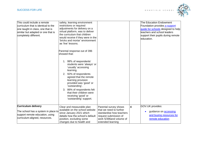

| This could include a remote<br>curriculum that is identical to the<br>one taught in class, one that is<br>similar but adapted or one that is<br>completely different. | safety, learning environment<br>restrictions or required<br>adjustments for delivery on a<br>virtual platform, was to deliver<br>the curriculum that children<br>would receive if they were in the<br>'bricks and mortar' environment<br>as 'live' lessons. |                                                                                                   |                         | The Education Endowment<br>Foundation provides a support<br>guide for schools designed to help<br>teachers and school leaders<br>support their pupils during remote<br>leducation. |
|-----------------------------------------------------------------------------------------------------------------------------------------------------------------------|-------------------------------------------------------------------------------------------------------------------------------------------------------------------------------------------------------------------------------------------------------------|---------------------------------------------------------------------------------------------------|-------------------------|------------------------------------------------------------------------------------------------------------------------------------------------------------------------------------|
|                                                                                                                                                                       | Parental response out of 396<br>showed that:                                                                                                                                                                                                                |                                                                                                   |                         |                                                                                                                                                                                    |
|                                                                                                                                                                       | 1. 99% of respondents'<br>students were 'always' or<br>'usually' accessing<br>learning.                                                                                                                                                                     |                                                                                                   |                         |                                                                                                                                                                                    |
|                                                                                                                                                                       | 2. 92% of respondents<br>agreed that the remote<br>learning provision<br>provided was 'good' or<br>'outstanding'.                                                                                                                                           |                                                                                                   |                         |                                                                                                                                                                                    |
|                                                                                                                                                                       | 3. 86% of respondents felt<br>that their children were<br>receiving 'good' or<br>'outstanding' support.                                                                                                                                                     |                                                                                                   |                         |                                                                                                                                                                                    |
| <b>Curriculum delivery</b>                                                                                                                                            | Clear and measurable plan<br>available on the school website                                                                                                                                                                                                | Parental survey shows<br>that we need to further                                                  | $\overline{\mathbf{4}}$ | GOV.UK provides:                                                                                                                                                                   |
| The school has a system in place to<br>support remote education, using<br>curriculum-aligned, resources.                                                              | since January 2021 which<br>details how the school's default<br>position, excluding some<br>changes due to health and                                                                                                                                       | standardise how teachers<br>request submission of<br>work 5/396and volume of<br>extended learning |                         | guidance on <b>accessing</b><br>$\bullet$<br>and buying resources for<br>remote education                                                                                          |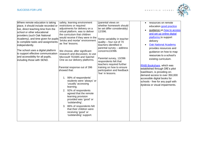

| Where remote education is taking<br>place, it should include recorded or<br>live, direct teaching time from the<br>school or other educational<br>providers (such Oak National<br>Academy), and time given for pupils<br>to complete tasks and assignments<br>independently.<br>The school uses a digital platform<br>to support effective communication<br>and accessibility for all pupils,<br>including those with SEND. | safety, learning environment<br>restrictions or required<br>adjustments for delivery on a<br>virtual platform, was to deliver<br>the curriculum that children<br>would receive if they were in the<br>'bricks and mortar' environment<br>as 'live' lessons.<br>We choose, after significant<br>research and discussion, to use<br>Microsoft TEAMS and Satchel<br>One as our delivery platforms.<br>Parental response out of 396<br>showed that:<br>1. 99% of respondents'<br>students were 'always' or<br>'usually' accessing<br>learning.<br>2. 92% of respondents<br>agreed that the remote<br>learning provision<br>provided was 'good' or<br>'outstanding'.<br>3. 86% of respondents felt<br>that their children were<br>receiving 'good' or<br>'outstanding' support. | (parental views on<br>whether homework should<br>be set differ considerably)<br>12/396.<br>Some variability in teacher<br>quality - four out of 70<br>teachers identified in<br>parental survey - address<br>concerns13/396.<br>Parental survey, 13/396<br>respondents felt that<br>teachers required further<br>training on how to ensure<br>participation and feedback<br>'live' in lessons. | resources on remote<br>education good practice<br>guidance on how to access<br>$\bullet$<br>and set up online digital<br>platforms to support<br>delivery<br><b>Oak National Academy</b><br>provides resources and<br>guidance on how to map<br>resources to a school's<br>existing curriculum.<br><b>RNIB Bookshare, which was</b><br>established through DfE's pilot<br>load2learn, is providing on-<br>demand access to over 350,000<br>accessible digital books for<br>schools - free for any pupil with<br>dyslexia or visual impairments. |
|-----------------------------------------------------------------------------------------------------------------------------------------------------------------------------------------------------------------------------------------------------------------------------------------------------------------------------------------------------------------------------------------------------------------------------|----------------------------------------------------------------------------------------------------------------------------------------------------------------------------------------------------------------------------------------------------------------------------------------------------------------------------------------------------------------------------------------------------------------------------------------------------------------------------------------------------------------------------------------------------------------------------------------------------------------------------------------------------------------------------------------------------------------------------------------------------------------------------|------------------------------------------------------------------------------------------------------------------------------------------------------------------------------------------------------------------------------------------------------------------------------------------------------------------------------------------------------------------------------------------------|-------------------------------------------------------------------------------------------------------------------------------------------------------------------------------------------------------------------------------------------------------------------------------------------------------------------------------------------------------------------------------------------------------------------------------------------------------------------------------------------------------------------------------------------------|
|-----------------------------------------------------------------------------------------------------------------------------------------------------------------------------------------------------------------------------------------------------------------------------------------------------------------------------------------------------------------------------------------------------------------------------|----------------------------------------------------------------------------------------------------------------------------------------------------------------------------------------------------------------------------------------------------------------------------------------------------------------------------------------------------------------------------------------------------------------------------------------------------------------------------------------------------------------------------------------------------------------------------------------------------------------------------------------------------------------------------------------------------------------------------------------------------------------------------|------------------------------------------------------------------------------------------------------------------------------------------------------------------------------------------------------------------------------------------------------------------------------------------------------------------------------------------------------------------------------------------------|-------------------------------------------------------------------------------------------------------------------------------------------------------------------------------------------------------------------------------------------------------------------------------------------------------------------------------------------------------------------------------------------------------------------------------------------------------------------------------------------------------------------------------------------------|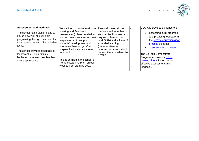

| Assessment and feedback<br>The school has a plan in place to<br>gauge how well all pupils are<br>progressing through the curriculum<br>using questions and other suitable<br>tasks.<br>The school provides feedback, at<br>least weekly, using digitally-<br>facilitated or whole-class feedback<br>where appropriate. | We decided to continue with the   Parental survey shows<br>Marking and Feedback<br>(assessment) plans detailed in<br>our curriculum area assessment request submission of<br>maps in order to support<br>students' development and<br>inform teachers of 'gaps' in<br>preparation for students' return<br>to school.<br>This is detailed in the school's<br>Remote Learning Plan, on our<br>website from January 2021 | that we need to further<br>standardise how teachers<br>work 5/396 and volume of<br>extended learning<br>(parental views on<br>whether homework should<br>be set differ considerably)<br>12/396. | 4 | GOV.UK provides guidance on:<br>assessing pupil progress<br>and providing feedback in<br>the remote education good<br>practice guidance<br>assessments and exams<br>The EdTech Demonstrator<br>Programme provides online<br>training videos for schools on<br>effective assessment and<br>feedback. |
|------------------------------------------------------------------------------------------------------------------------------------------------------------------------------------------------------------------------------------------------------------------------------------------------------------------------|-----------------------------------------------------------------------------------------------------------------------------------------------------------------------------------------------------------------------------------------------------------------------------------------------------------------------------------------------------------------------------------------------------------------------|-------------------------------------------------------------------------------------------------------------------------------------------------------------------------------------------------|---|-----------------------------------------------------------------------------------------------------------------------------------------------------------------------------------------------------------------------------------------------------------------------------------------------------|
|------------------------------------------------------------------------------------------------------------------------------------------------------------------------------------------------------------------------------------------------------------------------------------------------------------------------|-----------------------------------------------------------------------------------------------------------------------------------------------------------------------------------------------------------------------------------------------------------------------------------------------------------------------------------------------------------------------------------------------------------------------|-------------------------------------------------------------------------------------------------------------------------------------------------------------------------------------------------|---|-----------------------------------------------------------------------------------------------------------------------------------------------------------------------------------------------------------------------------------------------------------------------------------------------------|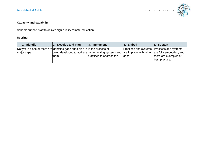

# **Capacity and capability**

Schools support staff to deliver high-quality remote education.

| 1. Identify                                                                                 | Develop and plan<br>2.                                                      | $ 3.$ Implement            | 4. Embed                     | 5. Sustain                                              |
|---------------------------------------------------------------------------------------------|-----------------------------------------------------------------------------|----------------------------|------------------------------|---------------------------------------------------------|
| Not yet in place or there are dentified gaps but a plan is In the process of<br>major gaps. | being developed to address implementing systems and are in place with minor |                            | <b>Practices and systems</b> | <b>Practices and systems</b><br>are fully embedded, and |
|                                                                                             | them.                                                                       | practices to address this. | gaps.                        | there are examples of                                   |
|                                                                                             |                                                                             |                            |                              | best practice.                                          |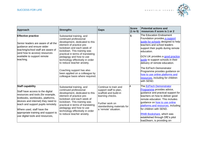

| <b>Approach</b>                                                                                                                                                                                                                                                                                                           | <b>Strengths</b>                                                                                                                                                                                                                                                                                                                                                                                                 | <b>Gaps</b>                                                                                                                                                             | <b>Score</b><br>(1 to 5) | <b>Potential actions and</b><br>resources if score is 1 or 2                                                                                                                                                                                                                                                                                                                                                                                  |
|---------------------------------------------------------------------------------------------------------------------------------------------------------------------------------------------------------------------------------------------------------------------------------------------------------------------------|------------------------------------------------------------------------------------------------------------------------------------------------------------------------------------------------------------------------------------------------------------------------------------------------------------------------------------------------------------------------------------------------------------------|-------------------------------------------------------------------------------------------------------------------------------------------------------------------------|--------------------------|-----------------------------------------------------------------------------------------------------------------------------------------------------------------------------------------------------------------------------------------------------------------------------------------------------------------------------------------------------------------------------------------------------------------------------------------------|
| <b>Effective practice</b><br>Senior leaders are aware of all the<br>guidance and ensure wider<br>teaching/school staff are aware of<br>(and how to access) resources<br>available to support remote<br>teaching.                                                                                                          | Substantial training, and<br>continued professional<br>development, dedicated to this<br>element of practice pre-<br>lockdown and each week of<br>lockdown. This training was<br>practical in terms of translating<br>pedagogy and how to use<br>technology effectively in order<br>to reduce teacher anxiety.<br>Coaching support has also<br>been applied on a colleague by<br>colleague basis where required. |                                                                                                                                                                         | 5                        | The Education Endowment<br>Foundation provides a support<br>quide for schools designed to help<br>teachers and school leaders<br>support their pupils during remote<br>education.<br>GOV.UK provides a good practice<br>quide to support schools in their<br>delivery of remote education.<br>The EdTech Demonstrator<br>Programme provides guidance on<br>how to use online platforms and<br>resources, including for children<br>with SEND. |
| <b>Staff capability</b><br>Staff have access to the digital<br>resources and tools (for example,<br>textbooks, workbooks, platforms,<br>devices and internet) they need to<br>teach and support pupils remotely.<br>Where used, staff have the<br>appropriate training and support to<br>use digital tools and resources, | Substantial training, and<br>continued professional<br>development, dedicated to this<br>element of practice pre-<br>lockdown and each week of<br>lockdown. This training was<br>practical in terms of translating<br>pedagogy and how to use<br>technology effectively in order<br>to reduce teacher anxiety.                                                                                                   | Continue to train and<br>support staff to plan,<br>scaffold and build-in<br>learning checks.<br>Further work on<br>standardising materials for<br>a 'remote' situation. |                          | The EdTech Demonstrator<br>Programme provides advice,<br>guidance and practical support for<br>teachers on how to deliver good<br>remote education. This includes<br>guidance on <b>how to use online</b><br>platforms and resources, including<br>for children with SEND.<br><b>RNIB Bookshare, which was</b><br>established through DfE's pilot<br>load2learn, is providing on-                                                             |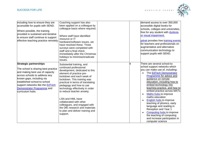

| including how to ensure they are<br>accessible for pupils with SEND.<br>Where possible, the training<br>provided is sustained and iterative<br>to ensure staff continue to support<br>effective teaching practice remotely.                                                                 | Coaching support has also<br>been applied on a colleague by<br>colleague basis where required.<br>Where staff have identified<br>resource or IT<br>hardware/software issues, we<br>have resolved these. Three<br>surveys were completed with<br>staff and a final check<br>immediately after the Christmas<br>holidays to minimise/eradicate<br>issues.                                                                                                                         | demand access to over 350,000<br>accessible digital books for<br>schools, colleges and universities,<br>free for any student with <b>dyslexia</b><br>or visual impairment.<br>pdnet provides free training events<br>for teachers and professionals on<br>augmentative and alternative<br>communication technology to<br>support pupils with SEND.                                                                                                                                                                                                                                              |
|---------------------------------------------------------------------------------------------------------------------------------------------------------------------------------------------------------------------------------------------------------------------------------------------|---------------------------------------------------------------------------------------------------------------------------------------------------------------------------------------------------------------------------------------------------------------------------------------------------------------------------------------------------------------------------------------------------------------------------------------------------------------------------------|-------------------------------------------------------------------------------------------------------------------------------------------------------------------------------------------------------------------------------------------------------------------------------------------------------------------------------------------------------------------------------------------------------------------------------------------------------------------------------------------------------------------------------------------------------------------------------------------------|
| <b>Strategic partnerships</b><br>The school is sharing best practice<br>and making best use of capacity<br>across schools to address any<br>known gaps, including via<br>established school-to-school<br>support networks like the EdTech<br>Demonstrator Programme and<br>curriculum hubs. | Substantial training, and<br>continued professional<br>development, dedicated to this<br>element of practice pre-<br>lockdown and each week of<br>lockdown. This training was<br>practical in terms of translating<br>pedagogy and how to use<br>technology effectively in order<br>to reduce teacher anxiety.<br>LSN and HML have<br>collaborated with other<br>colleagues, and engaged with<br>the DfE research and materials<br>to plan and deliver training and<br>support. | There are several school-to-<br>school support networks which<br>you can make use of, including:<br>The EdTech Demonstrator<br>Programme for advice and<br>guidance on remote<br>education, including how to<br>embed technology into<br>teaching practice, and how to<br>embed practice across MATs<br><b>Maths hubs to improve</b><br>$\bullet$<br>maths education<br>English hubs to improve<br>teaching of phonics, early<br>language and reading in<br>Reception and Year 1<br>Computing hubs to improve<br>the teaching of computing<br>and increase participation in<br>computer science |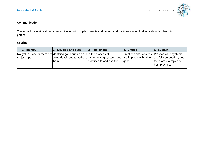

#### **Communication**

The school maintains strong communication with pupils, parents and carers, and continues to work effectively with other third parties.

| 1. Identify                                                                  | Develop and plan<br>2.                                                                              | $ 3.$ Implement            | 4. Embed                                    | <b>5. Sustain</b>                       |
|------------------------------------------------------------------------------|-----------------------------------------------------------------------------------------------------|----------------------------|---------------------------------------------|-----------------------------------------|
| Not yet in place or there are dentified gaps but a plan is in the process of |                                                                                                     |                            | Practices and systems Practices and systems |                                         |
| major gaps.                                                                  | being developed to address implementing systems and are in place with minor are fully embedded, and |                            |                                             |                                         |
|                                                                              | them.                                                                                               | practices to address this. | gaps.                                       | there are examples of<br>best practice. |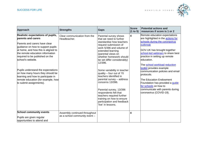

|                                                                                                                                                                                                                                                                  |                                                                |                                                                                                                                                                                                                                                   | <b>Score</b> | <b>Potential actions and</b>                                                                                                                                                                                                                                                  |
|------------------------------------------------------------------------------------------------------------------------------------------------------------------------------------------------------------------------------------------------------------------|----------------------------------------------------------------|---------------------------------------------------------------------------------------------------------------------------------------------------------------------------------------------------------------------------------------------------|--------------|-------------------------------------------------------------------------------------------------------------------------------------------------------------------------------------------------------------------------------------------------------------------------------|
| <b>Approach</b>                                                                                                                                                                                                                                                  | <b>Strengths</b>                                               | <b>Gaps</b>                                                                                                                                                                                                                                       | (1 to 5)     | resources if score is 1 or 2                                                                                                                                                                                                                                                  |
| Realistic expectations of pupils,<br>barents and carers<br>Parents and carers have clear<br>quidance on how to support pupils<br>at home, and how this is aligned to<br>the remote education information<br>required to be published on the<br>school's website. | Clear communication from the<br>Headteacher.                   | Parental survey shows<br>that we need to further<br>standardise how teachers<br>request submission of<br>work 5/396 and volume of<br>extended learning<br>(parental views on<br>whether homework should<br>be set differ considerably)<br>12/396. | 4            | Remote education expectations<br>are highlighted in the <b>actions for</b><br>schools during the coronavirus<br>outbreak<br>GOV.UK has brought together<br>school-led webinars to share best<br>practice in setting up remote<br>leducation.<br>The school workload reduction |
| Pupils understand the expectations<br>on how many hours they should be<br>learning and how to participate in<br>remote education (for example, how<br>to submit assignments).                                                                                    |                                                                | Some variability in teacher<br>quality - four out of 70<br>teachers identified in<br>parental survey - address<br>concerns 13/396.                                                                                                                |              | toolkit provides example<br>communication policies and email<br>protocols.<br>The Education Endowment<br>Foundation has provided a guide<br>for schools on how to                                                                                                             |
|                                                                                                                                                                                                                                                                  |                                                                | Parental survey, 13/396<br>respondents felt that<br>teachers required further<br>training on how to ensure<br>participation and feedback<br>'live' in lessons.                                                                                    |              | communicate with parents during<br>coronavirus (COVID-19).                                                                                                                                                                                                                    |
| <b>School community events</b>                                                                                                                                                                                                                                   | Assembly continued throughout<br>as a school community event - |                                                                                                                                                                                                                                                   | 4            |                                                                                                                                                                                                                                                                               |
| Pupils are given regular<br>opportunities to attend and                                                                                                                                                                                                          |                                                                |                                                                                                                                                                                                                                                   |              |                                                                                                                                                                                                                                                                               |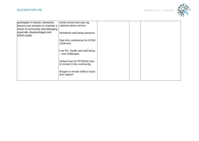

| participate in shared, interactive<br>lessons and activities to maintain a<br>sense of community and belonging, | whole school and year eg<br>national citizen service.      |  |  |
|-----------------------------------------------------------------------------------------------------------------|------------------------------------------------------------|--|--|
| especially disadvantaged and<br>SEND pupils.                                                                    | Wonderful well-being sessions.                             |  |  |
|                                                                                                                 | Digi-Girlz conference for STEM<br>continued.               |  |  |
|                                                                                                                 | Live PE, Health and well-being<br>- and challenges.        |  |  |
|                                                                                                                 | Default was for PP/SEND was<br>to remain in the community. |  |  |
|                                                                                                                 | Bought in remote SIMs to track<br>and support.             |  |  |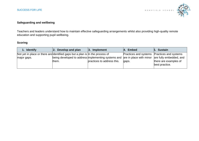

#### **Safeguarding and wellbeing**

Teachers and leaders understand how to maintain effective safeguarding arrangements whilst also providing high-quality remote education and supporting pupil wellbeing.

| 1. Identify                                                                  | Develop and plan<br>2.                                                                              | $ 3.$ Implement            | <b>Embed</b><br>I4.                         | 5. Sustain                              |
|------------------------------------------------------------------------------|-----------------------------------------------------------------------------------------------------|----------------------------|---------------------------------------------|-----------------------------------------|
| Not yet in place or there are dentified gaps but a plan is In the process of |                                                                                                     |                            | Practices and systems Practices and systems |                                         |
| major gaps.                                                                  | being developed to address implementing systems and are in place with minor are fully embedded, and |                            |                                             |                                         |
|                                                                              | them.                                                                                               | practices to address this. | gaps.                                       | there are examples of<br>best practice. |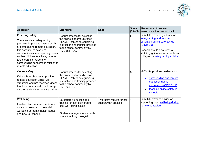

| Approach                                                                                                                                                                                                                                                                                                                                | <b>Strengths</b>                                                                                                                                                                      | <b>Gaps</b>                                         | <b>Score</b><br>(1 to 5) | <b>Potential actions and</b><br>resources if score is 1 or 2                                                                                                                                                      |
|-----------------------------------------------------------------------------------------------------------------------------------------------------------------------------------------------------------------------------------------------------------------------------------------------------------------------------------------|---------------------------------------------------------------------------------------------------------------------------------------------------------------------------------------|-----------------------------------------------------|--------------------------|-------------------------------------------------------------------------------------------------------------------------------------------------------------------------------------------------------------------|
| <b>Ensuring safety</b><br>There are clear safeguarding<br>protocols in place to ensure pupils<br>are safe during remote education.<br>It is essential to have and<br>communicate clear reporting routes<br>so that children, teachers, parents<br>and carers can raise any<br>safeguarding concerns in relation to<br>remote education. | Robust process for selecting<br>the online platform Microsoft<br><b>TEAMS. Robust safeguarding</b><br>instruction and training provided<br>to the school community by<br>HML and HOL. |                                                     | 5                        | GOV.UK provides guidance on<br>safeguarding and remote<br>education during coronavirus<br>(Covid-19).<br>Schools should also refer to<br>statutory guidance for schools and<br>colleges on safeguarding children. |
| Online safety<br>If the school chooses to provide<br>remote education using live<br>streaming and pre-recorded videos,<br>teachers understand how to keep<br>children safe whilst they are online.                                                                                                                                      | Robust process for selecting<br>the online platform Microsoft<br><b>TEAMS. Robust safeguarding</b><br>instruction and training provided<br>to the school community by<br>HML and HOL. |                                                     | 5                        | GOV.UK provides guidance on:<br>safeguarding and remote<br>education during<br>coronavirus (COVID-19)<br>teaching online safety in<br>schools                                                                     |
| Wellbeing<br>Leaders, teachers and pupils are<br>aware of how to spot potential<br>wellbeing or mental health issues<br>and how to respond.                                                                                                                                                                                             | Safeguarding bulletin and<br>training for staff delivered to<br>spot well-being issues.<br>Student managers trained with<br>educational psychologist.                                 | Two tutors require further<br>support with practice | $\overline{4}$           | GOV.UK provides advice on<br>supporting pupil wellbeing during<br>remote education.                                                                                                                               |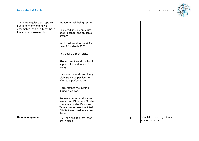

| There are regular catch ups with<br>pupils, one to one and via<br>assemblies, particularly for those<br>that are most vulnerable. | Wonderful well-being session.<br>Focussed training on return<br>back to school and students'<br>anxiety.                                                           |   |                                                 |
|-----------------------------------------------------------------------------------------------------------------------------------|--------------------------------------------------------------------------------------------------------------------------------------------------------------------|---|-------------------------------------------------|
|                                                                                                                                   | Additional transition work for<br>Year 7 for March 2021.                                                                                                           |   |                                                 |
|                                                                                                                                   | Key Year 11 Zoom calls.                                                                                                                                            |   |                                                 |
|                                                                                                                                   | Aligned breaks and lunches to<br>support staff and families' well-<br>being.                                                                                       |   |                                                 |
|                                                                                                                                   | Lockdown legends and Study<br>Club Stars competitions for<br>effort and performance.                                                                               |   |                                                 |
|                                                                                                                                   | 100% attendance awards<br>during lockdown.                                                                                                                         |   |                                                 |
|                                                                                                                                   | Regular check-up calls from<br>tutors, HoH/DHoH and Student<br>Managers to identify issues.<br>Where issues were identified<br>CPOMS was used to address<br>these. |   |                                                 |
| Data management                                                                                                                   | HML has ensured that these<br>are in place.                                                                                                                        | 5 | GOV.UK provides guidance to<br>support schools: |